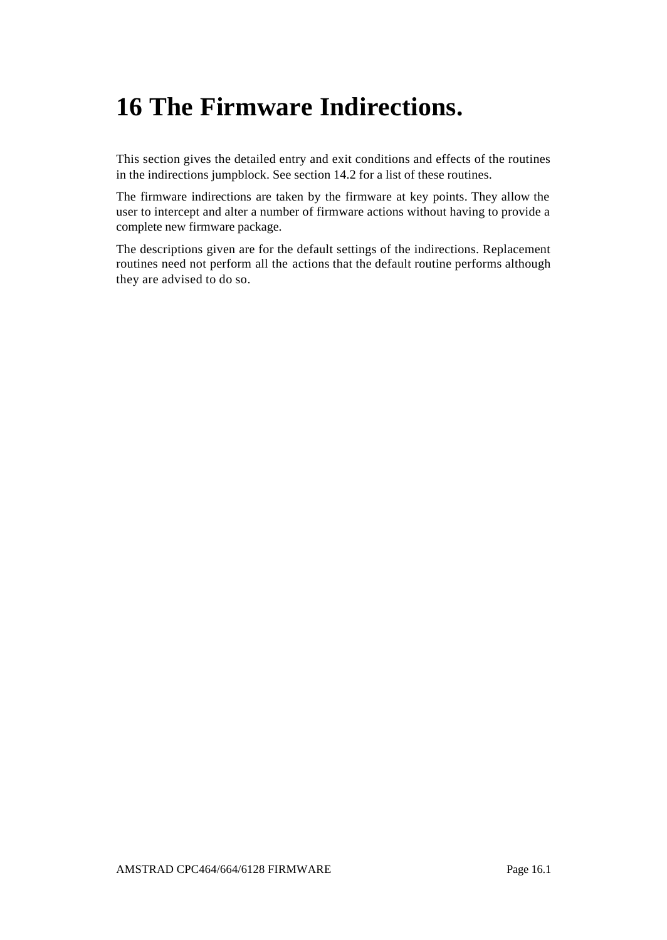# **16 The Firmware Indirections.**

This section gives the detailed entry and exit conditions and effects of the routines in the indirections jumpblock. See section 14.2 for a list of these routines.

The firmware indirections are taken by the firmware at key points. They allow the user to intercept and alter a number of firmware actions without having to provide a complete new firmware package.

The descriptions given are for the default settings of the indirections. Replacement routines need not perform all the actions that the default routine performs although they are advised to do so.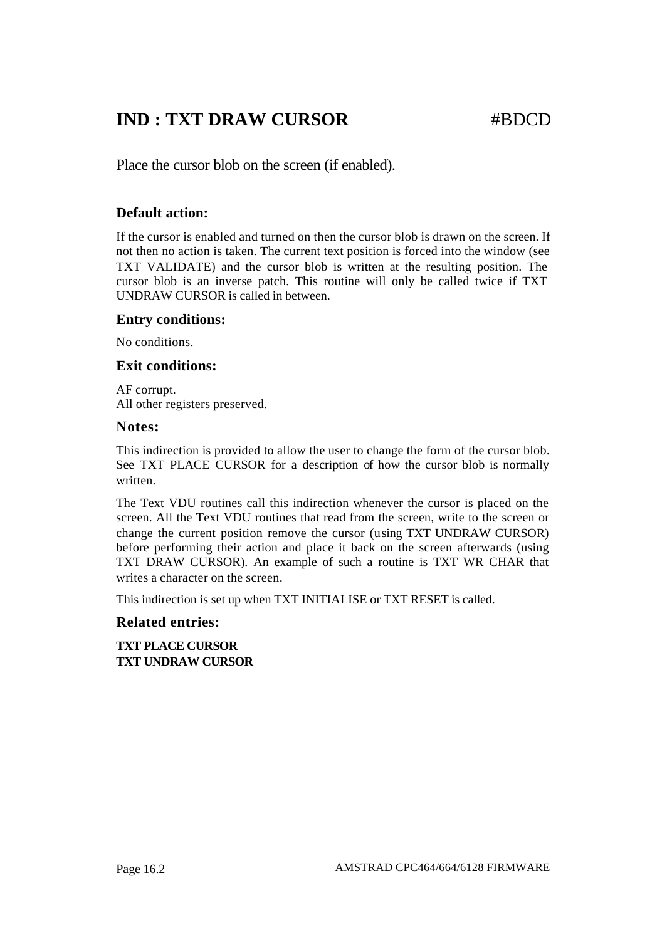## **IND : TXT DRAW CURSOR #BDCD**

Place the cursor blob on the screen (if enabled).

### **Default action:**

If the cursor is enabled and turned on then the cursor blob is drawn on the screen. If not then no action is taken. The current text position is forced into the window (see TXT VALIDATE) and the cursor blob is written at the resulting position. The cursor blob is an inverse patch. This routine will only be called twice if TXT UNDRAW CURSOR is called in between.

#### **Entry conditions:**

No conditions.

#### **Exit conditions:**

AF corrupt. All other registers preserved.

#### **Notes:**

This indirection is provided to allow the user to change the form of the cursor blob. See TXT PLACE CURSOR for a description of how the cursor blob is normally written.

The Text VDU routines call this indirection whenever the cursor is placed on the screen. All the Text VDU routines that read from the screen, write to the screen or change the current position remove the cursor (using TXT UNDRAW CURSOR) before performing their action and place it back on the screen afterwards (using TXT DRAW CURSOR). An example of such a routine is TXT WR CHAR that writes a character on the screen.

This indirection is set up when TXT INITIALISE or TXT RESET is called.

#### **Related entries:**

**TXT PLACE CURSOR TXT UNDRAW CURSOR**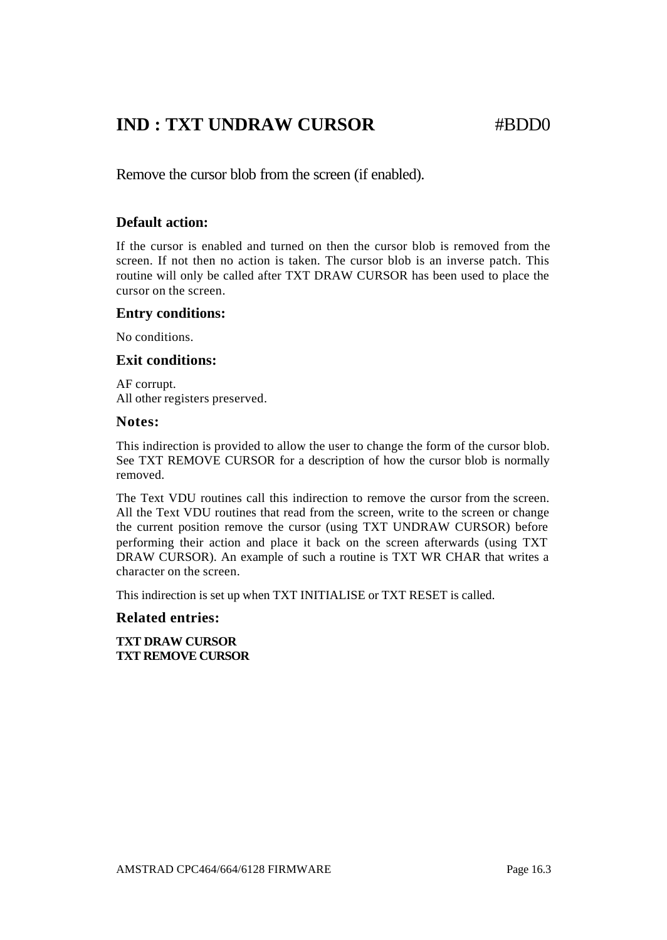## **IND : TXT UNDRAW CURSOR #BDD0**

Remove the cursor blob from the screen (if enabled).

#### **Default action:**

If the cursor is enabled and turned on then the cursor blob is removed from the screen. If not then no action is taken. The cursor blob is an inverse patch. This routine will only be called after TXT DRAW CURSOR has been used to place the cursor on the screen.

#### **Entry conditions:**

No conditions.

### **Exit conditions:**

AF corrupt. All other registers preserved.

#### **Notes:**

This indirection is provided to allow the user to change the form of the cursor blob. See TXT REMOVE CURSOR for a description of how the cursor blob is normally removed.

The Text VDU routines call this indirection to remove the cursor from the screen. All the Text VDU routines that read from the screen, write to the screen or change the current position remove the cursor (using TXT UNDRAW CURSOR) before performing their action and place it back on the screen afterwards (using TXT DRAW CURSOR). An example of such a routine is TXT WR CHAR that writes a character on the screen.

This indirection is set up when TXT INITIALISE or TXT RESET is called.

#### **Related entries:**

**TXT DRAW CURSOR TXT REMOVE CURSOR**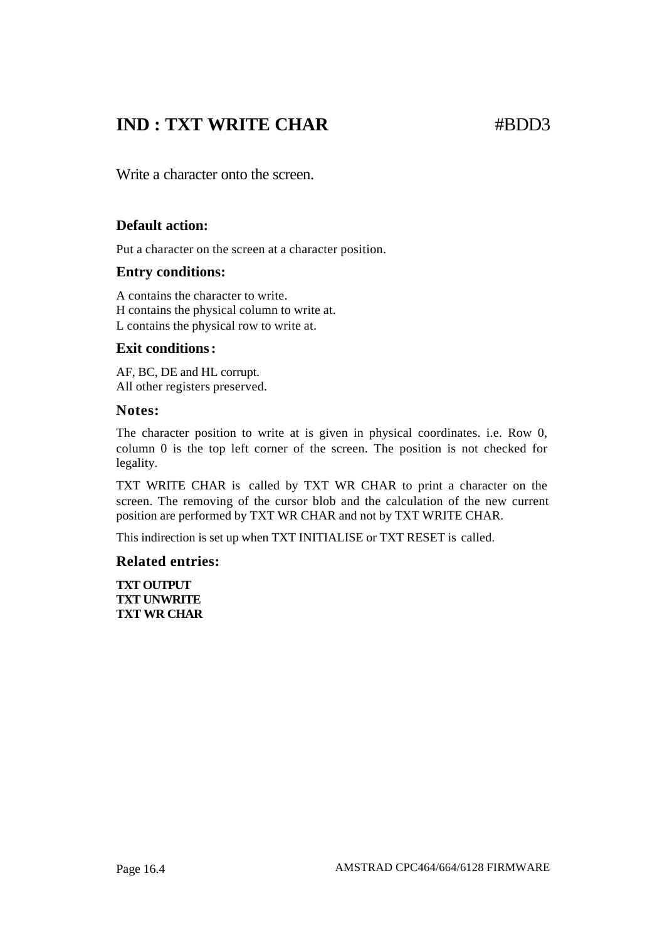## **IND : TXT WRITE CHAR** #BDD3

Write a character onto the screen.

### **Default action:**

Put a character on the screen at a character position.

#### **Entry conditions:**

A contains the character to write. H contains the physical column to write at. L contains the physical row to write at.

#### **Exit conditions:**

AF, BC, DE and HL corrupt. All other registers preserved.

#### **Notes:**

The character position to write at is given in physical coordinates. i.e. Row 0, column 0 is the top left corner of the screen. The position is not checked for legality.

TXT WRITE CHAR is called by TXT WR CHAR to print a character on the screen. The removing of the cursor blob and the calculation of the new current position are performed by TXT WR CHAR and not by TXT WRITE CHAR.

This indirection is set up when TXT INITIALISE or TXT RESET is called.

#### **Related entries:**

**TXT OUTPUT TXT UNWRITE TXT WR CHAR**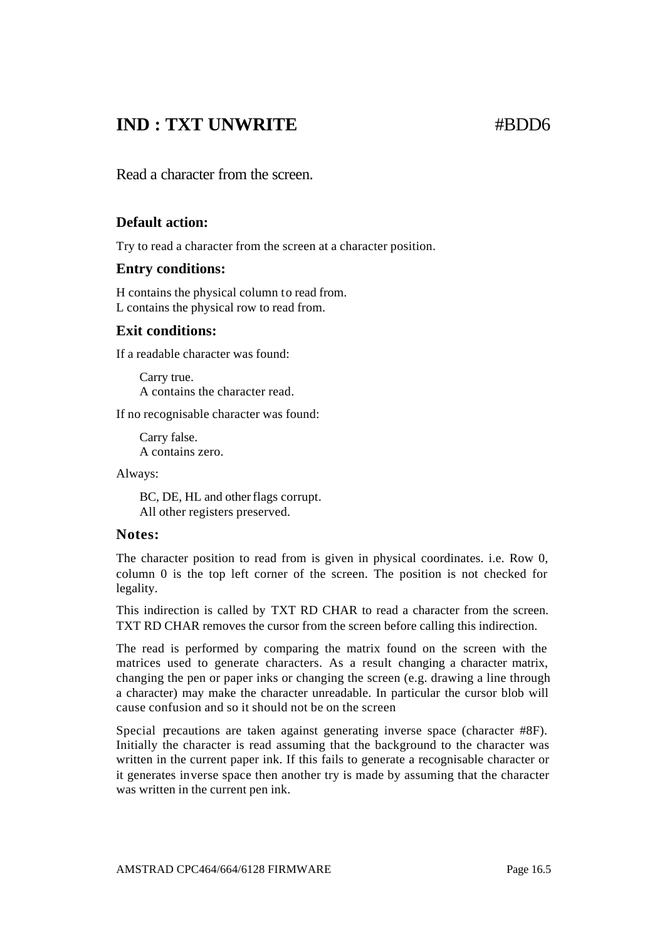## **IND : TXT UNWRITE** #BDD6

Read a character from the screen.

#### **Default action:**

Try to read a character from the screen at a character position.

#### **Entry conditions:**

H contains the physical column to read from. L contains the physical row to read from.

#### **Exit conditions:**

If a readable character was found:

Carry true. A contains the character read.

If no recognisable character was found:

Carry false. A contains zero.

Always:

BC, DE, HL and other flags corrupt. All other registers preserved.

#### **Notes:**

The character position to read from is given in physical coordinates. i.e. Row 0, column 0 is the top left corner of the screen. The position is not checked for legality.

This indirection is called by TXT RD CHAR to read a character from the screen. TXT RD CHAR removes the cursor from the screen before calling this indirection.

The read is performed by comparing the matrix found on the screen with the matrices used to generate characters. As a result changing a character matrix, changing the pen or paper inks or changing the screen (e.g. drawing a line through a character) may make the character unreadable. In particular the cursor blob will cause confusion and so it should not be on the screen

Special precautions are taken against generating inverse space (character #8F). Initially the character is read assuming that the background to the character was written in the current paper ink. If this fails to generate a recognisable character or it generates inverse space then another try is made by assuming that the character was written in the current pen ink.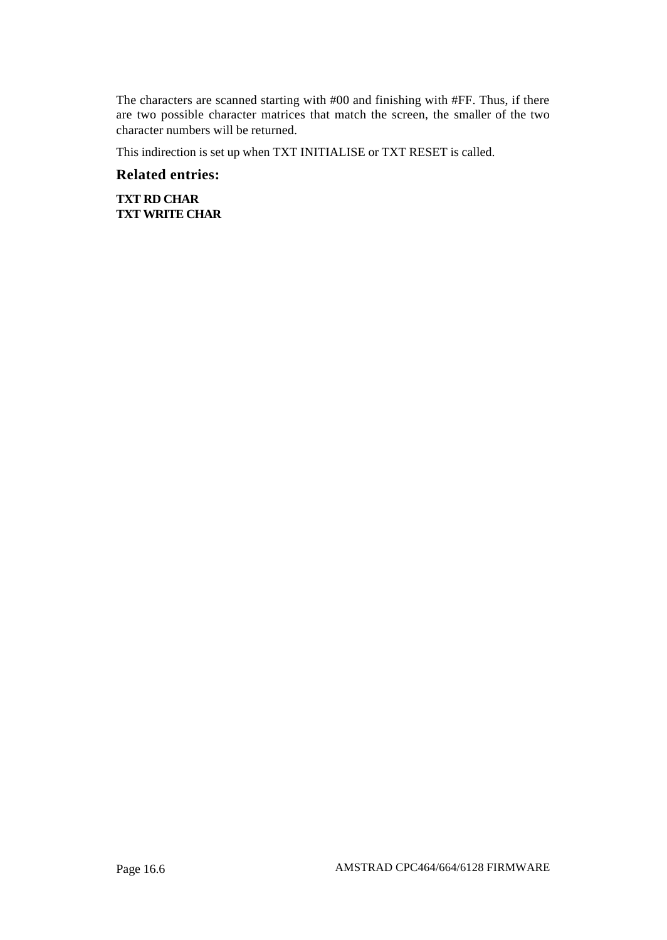The characters are scanned starting with #00 and finishing with #FF. Thus, if there are two possible character matrices that match the screen, the smaller of the two character numbers will be returned.

This indirection is set up when TXT INITIALISE or TXT RESET is called.

#### **Related entries:**

**TXT RD CHAR TXT WRITE CHAR**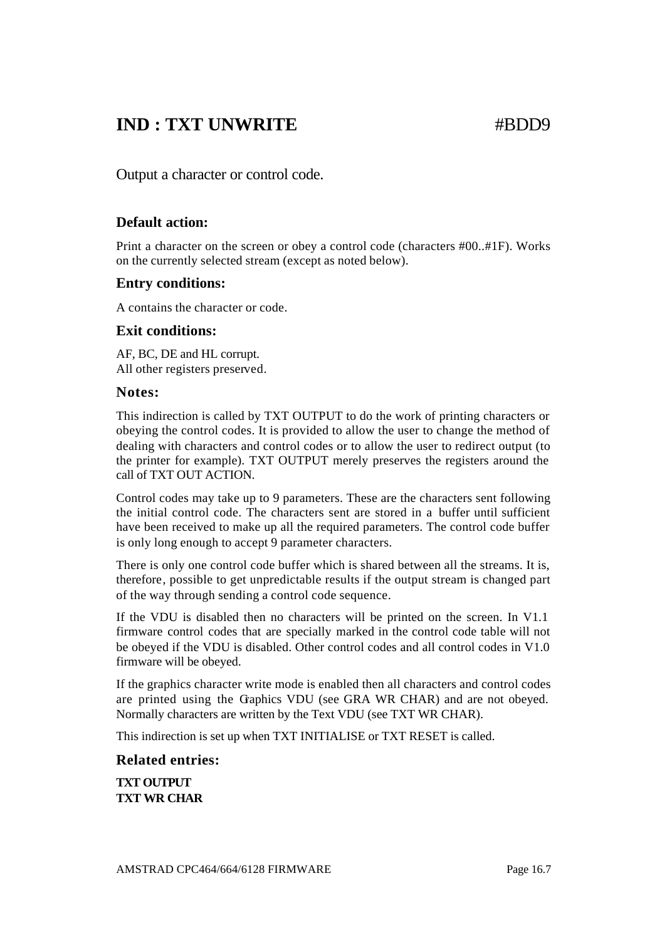## **IND : TXT UNWRITE** #BDD9

Output a character or control code.

### **Default action:**

Print a character on the screen or obey a control code (characters #00..#1F). Works on the currently selected stream (except as noted below).

#### **Entry conditions:**

A contains the character or code.

### **Exit conditions:**

AF, BC, DE and HL corrupt. All other registers preserved.

#### **Notes:**

This indirection is called by TXT OUTPUT to do the work of printing characters or obeying the control codes. It is provided to allow the user to change the method of dealing with characters and control codes or to allow the user to redirect output (to the printer for example). TXT OUTPUT merely preserves the registers around the call of TXT OUT ACTION.

Control codes may take up to 9 parameters. These are the characters sent following the initial control code. The characters sent are stored in a buffer until sufficient have been received to make up all the required parameters. The control code buffer is only long enough to accept 9 parameter characters.

There is only one control code buffer which is shared between all the streams. It is, therefore, possible to get unpredictable results if the output stream is changed part of the way through sending a control code sequence.

If the VDU is disabled then no characters will be printed on the screen. In V1.1 firmware control codes that are specially marked in the control code table will not be obeyed if the VDU is disabled. Other control codes and all control codes in V1.0 firmware will be obeyed.

If the graphics character write mode is enabled then all characters and control codes are printed using the Graphics VDU (see GRA WR CHAR) and are not obeyed. Normally characters are written by the Text VDU (see TXT WR CHAR).

This indirection is set up when TXT INITIALISE or TXT RESET is called.

#### **Related entries:**

**TXT OUTPUT TXT WR CHAR**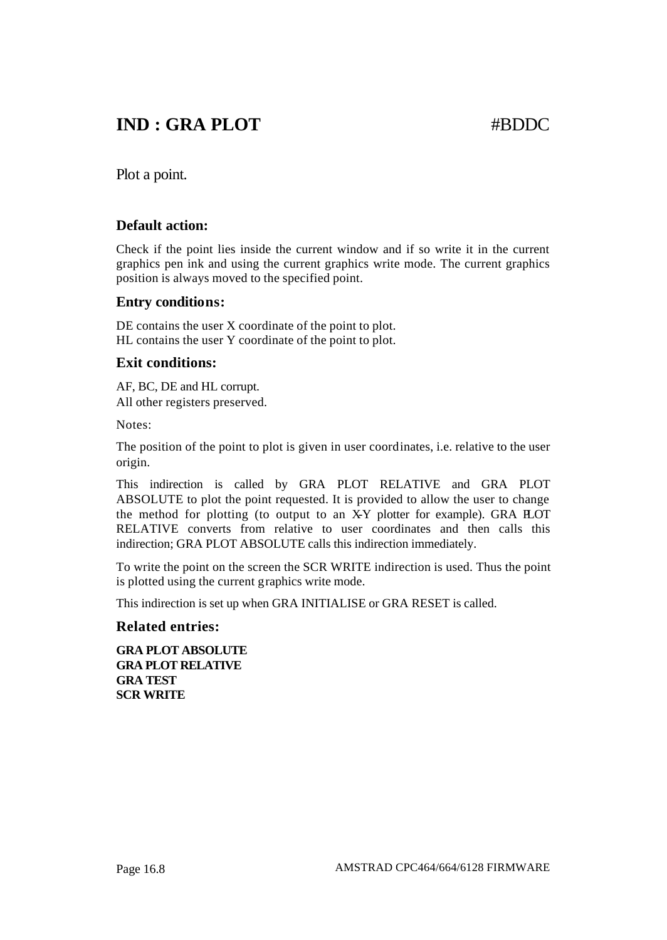## **IND : GRA PLOT** #BDDC

Plot a point.

#### **Default action:**

Check if the point lies inside the current window and if so write it in the current graphics pen ink and using the current graphics write mode. The current graphics position is always moved to the specified point.

#### **Entry conditions:**

DE contains the user X coordinate of the point to plot. HL contains the user Y coordinate of the point to plot.

#### **Exit conditions:**

AF, BC, DE and HL corrupt. All other registers preserved.

Notes:

The position of the point to plot is given in user coordinates, i.e. relative to the user origin.

This indirection is called by GRA PLOT RELATIVE and GRA PLOT ABSOLUTE to plot the point requested. It is provided to allow the user to change the method for plotting (to output to an X-Y plotter for example). GRA HOT RELATIVE converts from relative to user coordinates and then calls this indirection; GRA PLOT ABSOLUTE calls this indirection immediately.

To write the point on the screen the SCR WRITE indirection is used. Thus the point is plotted using the current graphics write mode.

This indirection is set up when GRA INITIALISE or GRA RESET is called.

#### **Related entries:**

**GRA PLOT ABSOLUTE GRA PLOT RELATIVE GRA TEST SCR WRITE**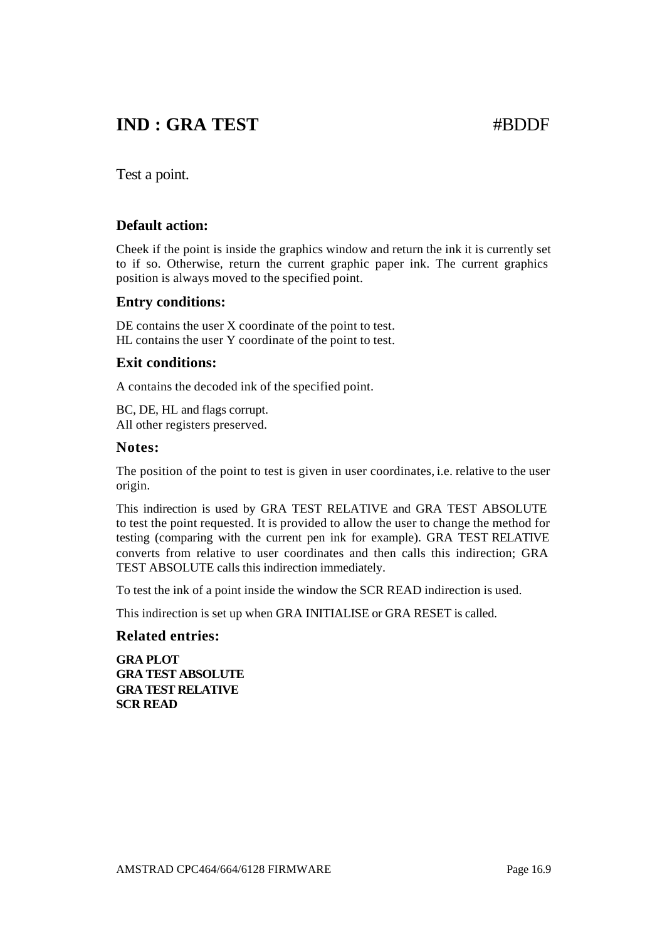## **IND : GRA TEST** #BDDF

Test a point.

#### **Default action:**

Cheek if the point is inside the graphics window and return the ink it is currently set to if so. Otherwise, return the current graphic paper ink. The current graphics position is always moved to the specified point.

#### **Entry conditions:**

DE contains the user X coordinate of the point to test. HL contains the user Y coordinate of the point to test.

#### **Exit conditions:**

A contains the decoded ink of the specified point.

BC, DE, HL and flags corrupt. All other registers preserved.

#### **Notes:**

The position of the point to test is given in user coordinates, i.e. relative to the user origin.

This indirection is used by GRA TEST RELATIVE and GRA TEST ABSOLUTE to test the point requested. It is provided to allow the user to change the method for testing (comparing with the current pen ink for example). GRA TEST RELATIVE converts from relative to user coordinates and then calls this indirection; GRA TEST ABSOLUTE calls this indirection immediately.

To test the ink of a point inside the window the SCR READ indirection is used.

This indirection is set up when GRA INITIALISE or GRA RESET is called.

#### **Related entries:**

**GRA PLOT GRA TEST ABSOLUTE GRA TEST RELATIVE SCR READ**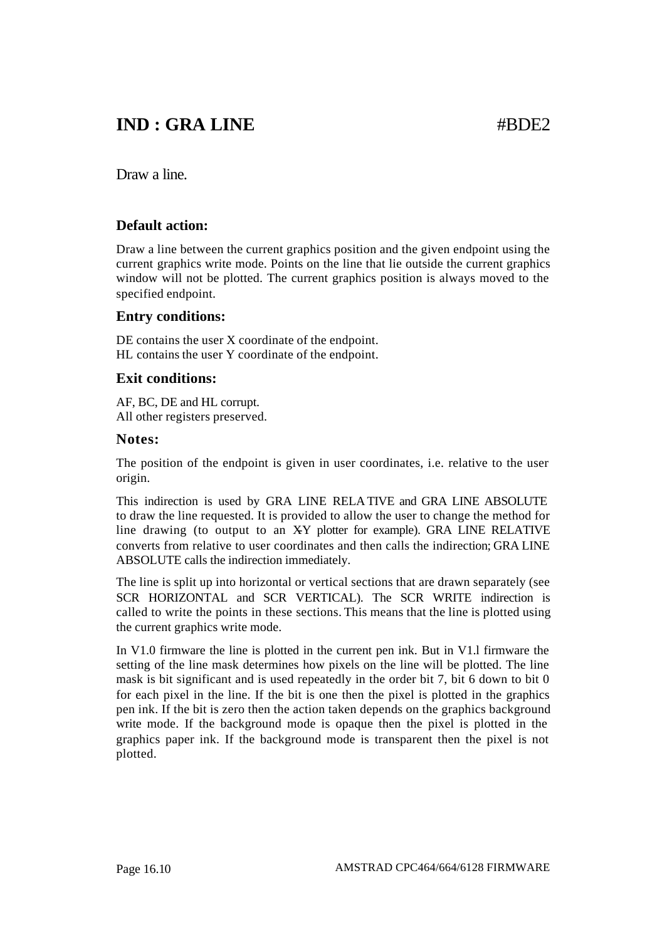## **IND : GRA LINE** #BDE2

Draw a line.

### **Default action:**

Draw a line between the current graphics position and the given endpoint using the current graphics write mode. Points on the line that lie outside the current graphics window will not be plotted. The current graphics position is always moved to the specified endpoint.

#### **Entry conditions:**

DE contains the user X coordinate of the endpoint. HL contains the user Y coordinate of the endpoint.

#### **Exit conditions:**

AF, BC, DE and HL corrupt. All other registers preserved.

#### **Notes:**

The position of the endpoint is given in user coordinates, i.e. relative to the user origin.

This indirection is used by GRA LINE RELA TIVE and GRA LINE ABSOLUTE to draw the line requested. It is provided to allow the user to change the method for line drawing (to output to an XY plotter for example). GRA LINE RELATIVE converts from relative to user coordinates and then calls the indirection; GRA LINE ABSOLUTE calls the indirection immediately.

The line is split up into horizontal or vertical sections that are drawn separately (see SCR HORIZONTAL and SCR VERTICAL). The SCR WRITE indirection is called to write the points in these sections. This means that the line is plotted using the current graphics write mode.

In V1.0 firmware the line is plotted in the current pen ink. But in V1.l firmware the setting of the line mask determines how pixels on the line will be plotted. The line mask is bit significant and is used repeatedly in the order bit 7, bit 6 down to bit 0 for each pixel in the line. If the bit is one then the pixel is plotted in the graphics pen ink. If the bit is zero then the action taken depends on the graphics background write mode. If the background mode is opaque then the pixel is plotted in the graphics paper ink. If the background mode is transparent then the pixel is not plotted.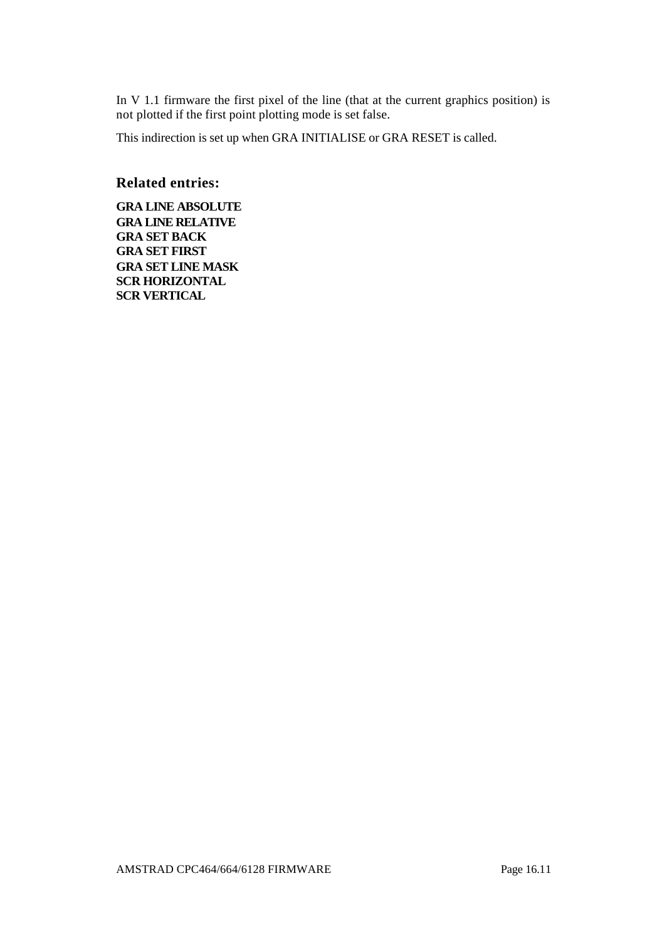In V 1.1 firmware the first pixel of the line (that at the current graphics position) is not plotted if the first point plotting mode is set false.

This indirection is set up when GRA INITIALISE or GRA RESET is called.

#### **Related entries:**

**GRA LINE ABSOLUTE GRA LINE RELATIVE GRA SET BACK GRA SET FIRST GRA SET LINE MASK SCR HORIZONTAL SCR VERTICAL**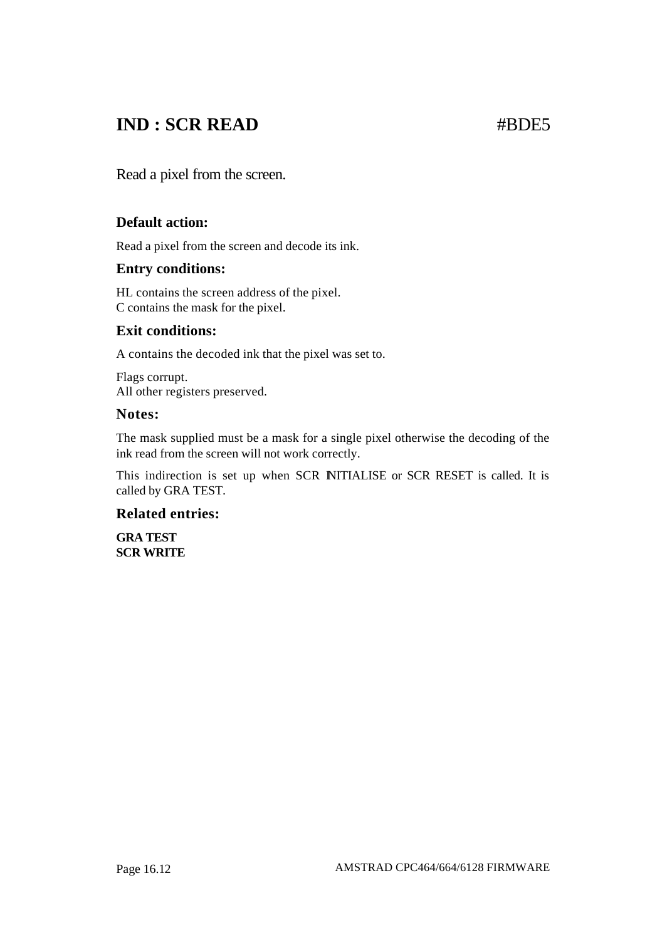## **IND : SCR READ #BDE5**

Read a pixel from the screen.

#### **Default action:**

Read a pixel from the screen and decode its ink.

#### **Entry conditions:**

HL contains the screen address of the pixel. C contains the mask for the pixel.

#### **Exit conditions:**

A contains the decoded ink that the pixel was set to.

Flags corrupt. All other registers preserved.

#### **Notes:**

The mask supplied must be a mask for a single pixel otherwise the decoding of the ink read from the screen will not work correctly.

This indirection is set up when SCR NITIALISE or SCR RESET is called. It is called by GRA TEST.

#### **Related entries:**

**GRA TEST SCR WRITE**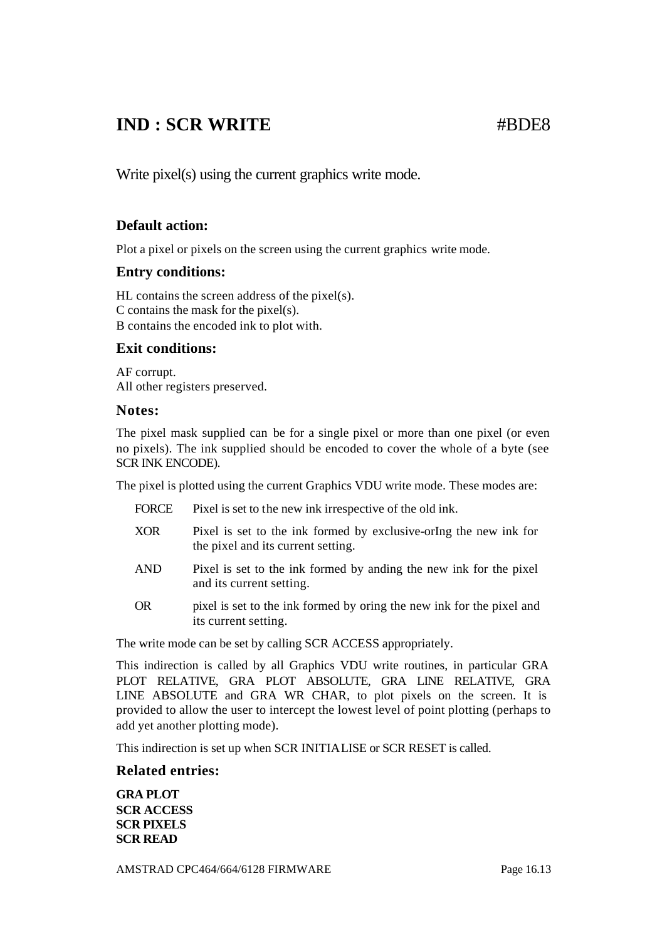## **IND : SCR WRITE** #BDE8

Write pixel(s) using the current graphics write mode.

#### **Default action:**

Plot a pixel or pixels on the screen using the current graphics write mode.

#### **Entry conditions:**

HL contains the screen address of the pixel(s). C contains the mask for the pixel(s). B contains the encoded ink to plot with.

#### **Exit conditions:**

AF corrupt. All other registers preserved.

#### **Notes:**

The pixel mask supplied can be for a single pixel or more than one pixel (or even no pixels). The ink supplied should be encoded to cover the whole of a byte (see SCR INK ENCODE).

The pixel is plotted using the current Graphics VDU write mode. These modes are:

| FORCE      | Pixel is set to the new ink irrespective of the old ink.                                                |
|------------|---------------------------------------------------------------------------------------------------------|
| <b>XOR</b> | Pixel is set to the ink formed by exclusive-oring the new ink for<br>the pixel and its current setting. |
| <b>AND</b> | Pixel is set to the ink formed by anding the new ink for the pixel<br>and its current setting.          |
| <b>OR</b>  | pixel is set to the ink formed by oring the new ink for the pixel and                                   |

its current setting.

The write mode can be set by calling SCR ACCESS appropriately.

This indirection is called by all Graphics VDU write routines, in particular GRA PLOT RELATIVE, GRA PLOT ABSOLUTE, GRA LINE RELATIVE, GRA LINE ABSOLUTE and GRA WR CHAR, to plot pixels on the screen. It is provided to allow the user to intercept the lowest level of point plotting (perhaps to add yet another plotting mode).

This indirection is set up when SCR INITIALISE or SCR RESET is called.

#### **Related entries:**

**GRA PLOT SCR ACCESS SCR PIXELS SCR READ**

AMSTRAD CPC464/664/6128 FIRMWARE Page 16.13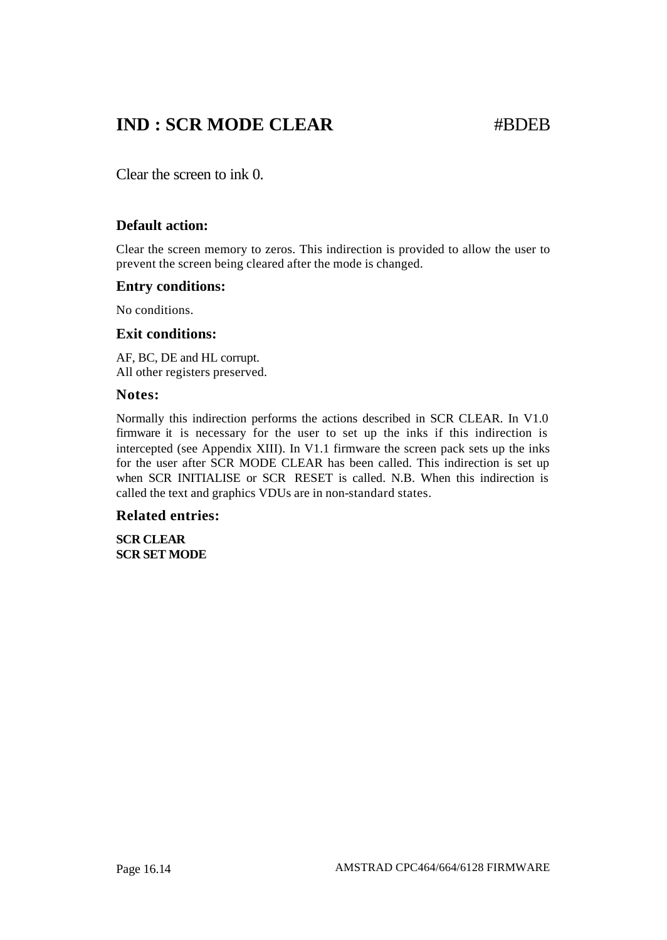## **IND : SCR MODE CLEAR #BDEB**

Clear the screen to ink 0.

### **Default action:**

Clear the screen memory to zeros. This indirection is provided to allow the user to prevent the screen being cleared after the mode is changed.

#### **Entry conditions:**

No conditions.

#### **Exit conditions:**

AF, BC, DE and HL corrupt. All other registers preserved.

#### **Notes:**

Normally this indirection performs the actions described in SCR CLEAR. In V1.0 firmware it is necessary for the user to set up the inks if this indirection is intercepted (see Appendix XIII). In V1.1 firmware the screen pack sets up the inks for the user after SCR MODE CLEAR has been called. This indirection is set up when SCR INITIALISE or SCR RESET is called. N.B. When this indirection is called the text and graphics VDUs are in non-standard states.

#### **Related entries:**

**SCR CLEAR SCR SET MODE**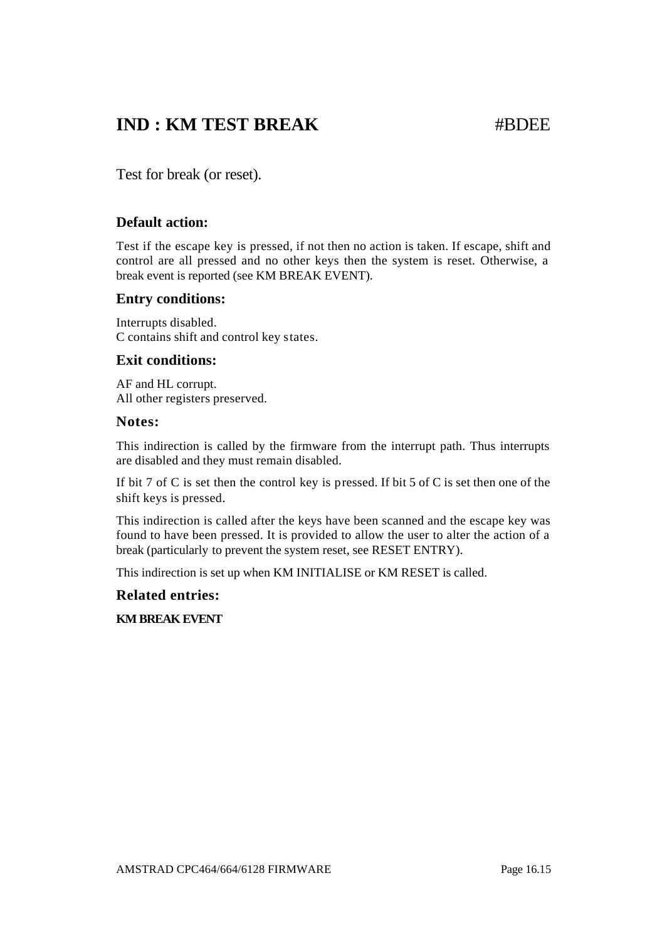## **IND : KM TEST BREAK** #BDEE

Test for break (or reset).

#### **Default action:**

Test if the escape key is pressed, if not then no action is taken. If escape, shift and control are all pressed and no other keys then the system is reset. Otherwise, a break event is reported (see KM BREAK EVENT).

#### **Entry conditions:**

Interrupts disabled. C contains shift and control key states.

#### **Exit conditions:**

AF and HL corrupt. All other registers preserved.

#### **Notes:**

This indirection is called by the firmware from the interrupt path. Thus interrupts are disabled and they must remain disabled.

If bit 7 of C is set then the control key is pressed. If bit 5 of C is set then one of the shift keys is pressed.

This indirection is called after the keys have been scanned and the escape key was found to have been pressed. It is provided to allow the user to alter the action of a break (particularly to prevent the system reset, see RESET ENTRY).

This indirection is set up when KM INITIALISE or KM RESET is called.

**Related entries:**

**KM BREAK EVENT**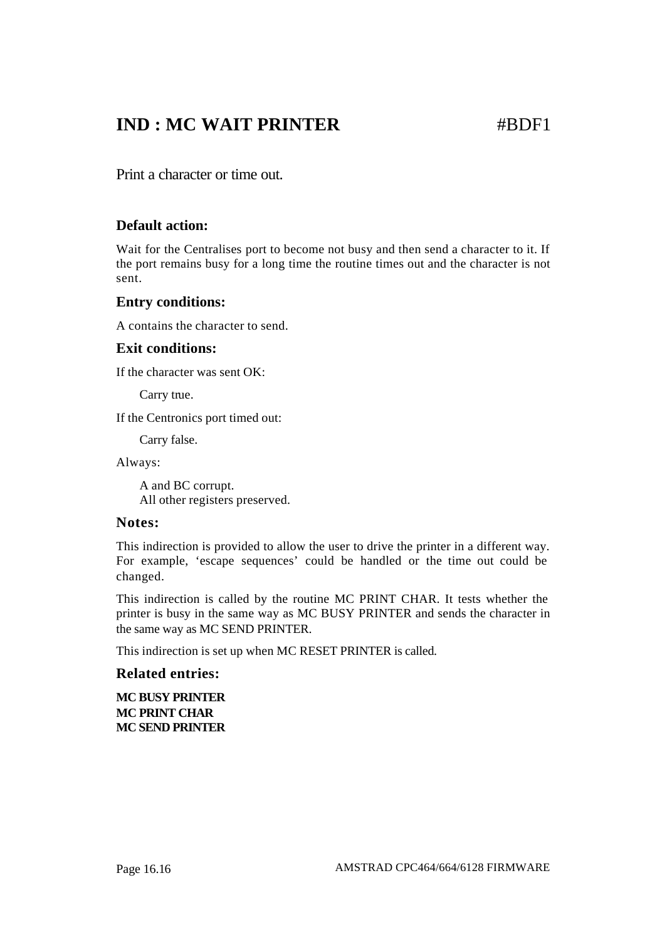## **IND : MC WAIT PRINTER** #BDF1

Print a character or time out.

#### **Default action:**

Wait for the Centralises port to become not busy and then send a character to it. If the port remains busy for a long time the routine times out and the character is not sent.

#### **Entry conditions:**

A contains the character to send.

#### **Exit conditions:**

If the character was sent OK:

Carry true.

If the Centronics port timed out:

Carry false.

Always:

A and BC corrupt. All other registers preserved.

#### **Notes:**

This indirection is provided to allow the user to drive the printer in a different way. For example, 'escape sequences' could be handled or the time out could be changed.

This indirection is called by the routine MC PRINT CHAR. It tests whether the printer is busy in the same way as MC BUSY PRINTER and sends the character in the same way as MC SEND PRINTER.

This indirection is set up when MC RESET PRINTER is called.

#### **Related entries:**

**MC BUSY PRINTER MC PRINT CHAR MC SEND PRINTER**